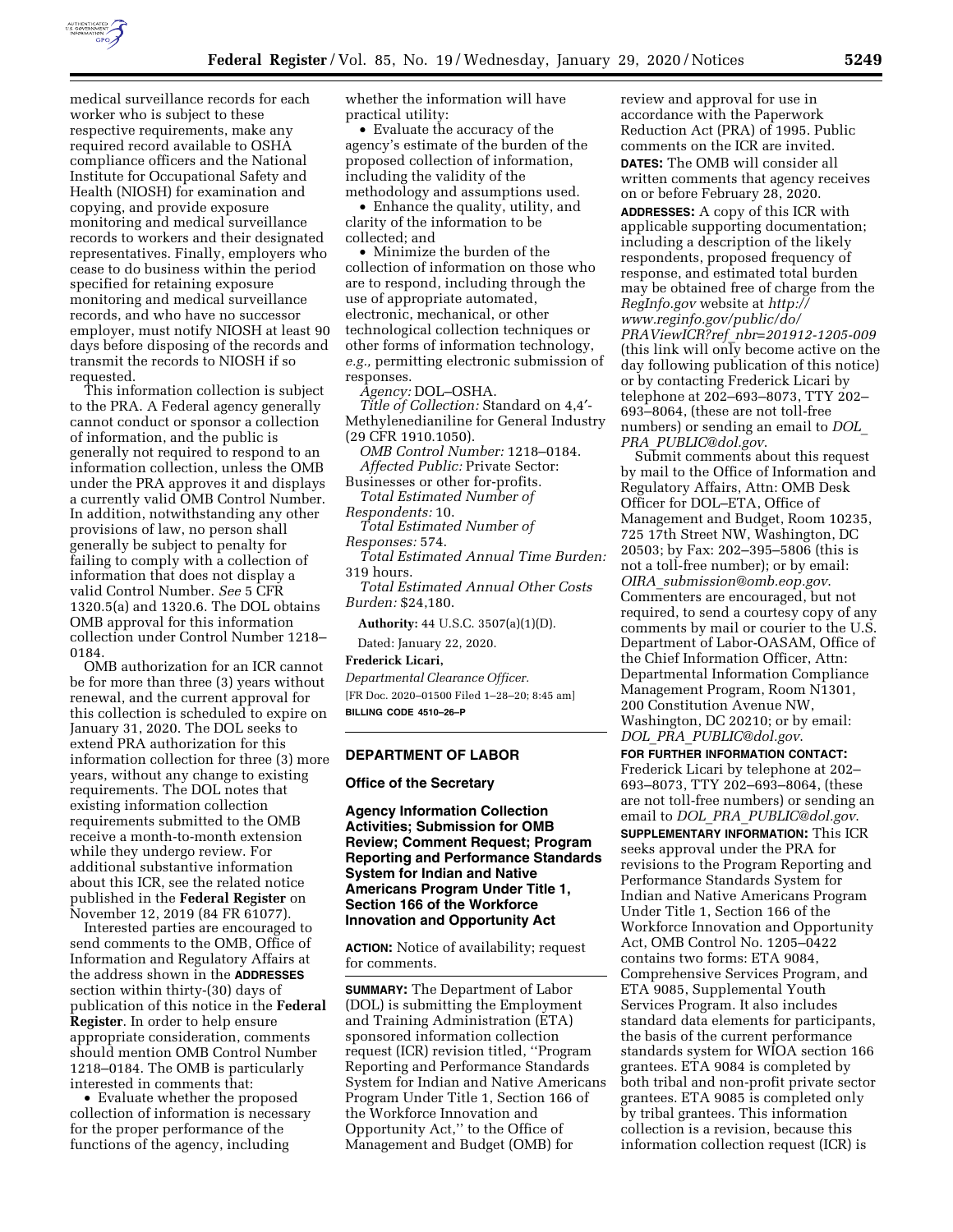

medical surveillance records for each worker who is subject to these respective requirements, make any required record available to OSHA compliance officers and the National Institute for Occupational Safety and Health (NIOSH) for examination and copying, and provide exposure monitoring and medical surveillance records to workers and their designated representatives. Finally, employers who cease to do business within the period specified for retaining exposure monitoring and medical surveillance records, and who have no successor employer, must notify NIOSH at least 90 days before disposing of the records and transmit the records to NIOSH if so requested.

This information collection is subject to the PRA. A Federal agency generally cannot conduct or sponsor a collection of information, and the public is generally not required to respond to an information collection, unless the OMB under the PRA approves it and displays a currently valid OMB Control Number. In addition, notwithstanding any other provisions of law, no person shall generally be subject to penalty for failing to comply with a collection of information that does not display a valid Control Number. *See* 5 CFR 1320.5(a) and 1320.6. The DOL obtains OMB approval for this information collection under Control Number 1218– 0184.

OMB authorization for an ICR cannot be for more than three (3) years without renewal, and the current approval for this collection is scheduled to expire on January 31, 2020. The DOL seeks to extend PRA authorization for this information collection for three (3) more years, without any change to existing requirements. The DOL notes that existing information collection requirements submitted to the OMB receive a month-to-month extension while they undergo review. For additional substantive information about this ICR, see the related notice published in the **Federal Register** on November 12, 2019 (84 FR 61077).

Interested parties are encouraged to send comments to the OMB, Office of Information and Regulatory Affairs at the address shown in the **ADDRESSES** section within thirty-(30) days of publication of this notice in the **Federal Register**. In order to help ensure appropriate consideration, comments should mention OMB Control Number 1218–0184. The OMB is particularly interested in comments that:

• Evaluate whether the proposed collection of information is necessary for the proper performance of the functions of the agency, including

whether the information will have practical utility:

• Evaluate the accuracy of the agency's estimate of the burden of the proposed collection of information, including the validity of the methodology and assumptions used.

• Enhance the quality, utility, and clarity of the information to be collected; and

• Minimize the burden of the collection of information on those who are to respond, including through the use of appropriate automated, electronic, mechanical, or other technological collection techniques or other forms of information technology, *e.g.,* permitting electronic submission of responses.

*Agency:* DOL–OSHA.

*Title of Collection:* Standard on 4,4′- Methylenedianiline for General Industry (29 CFR 1910.1050).

*OMB Control Number:* 1218–0184. *Affected Public:* Private Sector: Businesses or other for-profits.

*Total Estimated Number of Respondents:* 10.

*Total Estimated Number of Responses:* 574.

*Total Estimated Annual Time Burden:*  319 hours.

*Total Estimated Annual Other Costs Burden:* \$24,180.

**Authority:** 44 U.S.C. 3507(a)(1)(D).

Dated: January 22, 2020.

**Frederick Licari,** 

*Departmental Clearance Officer.*  [FR Doc. 2020–01500 Filed 1–28–20; 8:45 am] **BILLING CODE 4510–26–P** 

#### **DEPARTMENT OF LABOR**

### **Office of the Secretary**

**Agency Information Collection Activities; Submission for OMB Review; Comment Request; Program Reporting and Performance Standards System for Indian and Native Americans Program Under Title 1, Section 166 of the Workforce Innovation and Opportunity Act** 

**ACTION:** Notice of availability; request for comments.

**SUMMARY:** The Department of Labor (DOL) is submitting the Employment and Training Administration (ETA) sponsored information collection request (ICR) revision titled, ''Program Reporting and Performance Standards System for Indian and Native Americans Program Under Title 1, Section 166 of the Workforce Innovation and Opportunity Act,'' to the Office of Management and Budget (OMB) for

review and approval for use in accordance with the Paperwork Reduction Act (PRA) of 1995. Public comments on the ICR are invited. **DATES:** The OMB will consider all written comments that agency receives on or before February 28, 2020. **ADDRESSES:** A copy of this ICR with applicable supporting documentation; including a description of the likely respondents, proposed frequency of response, and estimated total burden may be obtained free of charge from the *RegInfo.gov* website at *[http://](http://www.reginfo.gov/public/do/PRAViewICR?ref_nbr=201912-1205-009) [www.reginfo.gov/public/do/](http://www.reginfo.gov/public/do/PRAViewICR?ref_nbr=201912-1205-009)  PRAViewICR?ref*\_*[nbr=201912-1205-009](http://www.reginfo.gov/public/do/PRAViewICR?ref_nbr=201912-1205-009)*  (this link will only become active on the day following publication of this notice) or by contacting Frederick Licari by telephone at 202–693–8073, TTY 202– 693–8064, (these are not toll-free numbers) or sending an email to *[DOL](mailto:DOL_PRA_PUBLIC@dol.gov)*\_ *PRA*\_*[PUBLIC@dol.gov](mailto:DOL_PRA_PUBLIC@dol.gov)*.

Submit comments about this request by mail to the Office of Information and Regulatory Affairs, Attn: OMB Desk Officer for DOL–ETA, Office of Management and Budget, Room 10235, 725 17th Street NW, Washington, DC 20503; by Fax: 202–395–5806 (this is not a toll-free number); or by email: *OIRA*\_*[submission@omb.eop.gov](mailto:OIRA_submission@omb.eop.gov)*. Commenters are encouraged, but not required, to send a courtesy copy of any comments by mail or courier to the U.S. Department of Labor-OASAM, Office of the Chief Information Officer, Attn: Departmental Information Compliance Management Program, Room N1301, 200 Constitution Avenue NW, Washington, DC 20210; or by email: *DOL*\_*PRA*\_*[PUBLIC@dol.gov](mailto:DOL_PRA_PUBLIC@dol.gov)*.

**FOR FURTHER INFORMATION CONTACT:**  Frederick Licari by telephone at 202– 693–8073, TTY 202–693–8064, (these are not toll-free numbers) or sending an email to *DOL*\_*PRA*\_*[PUBLIC@dol.gov](mailto:DOL_PRA_PUBLIC@dol.gov)*.

**SUPPLEMENTARY INFORMATION:** This ICR seeks approval under the PRA for revisions to the Program Reporting and Performance Standards System for Indian and Native Americans Program Under Title 1, Section 166 of the Workforce Innovation and Opportunity Act, OMB Control No. 1205–0422 contains two forms: ETA 9084, Comprehensive Services Program, and ETA 9085, Supplemental Youth Services Program. It also includes standard data elements for participants, the basis of the current performance standards system for WIOA section 166 grantees. ETA 9084 is completed by both tribal and non-profit private sector grantees. ETA 9085 is completed only by tribal grantees. This information collection is a revision, because this information collection request (ICR) is